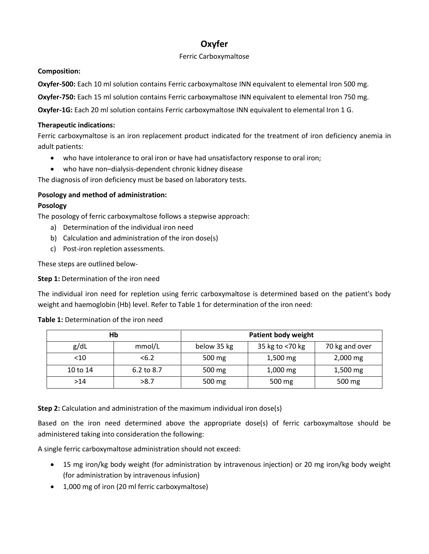# **Oxyfer**

# Ferric Carboxymaltose

# **Composition:**

**Oxyfer-500:** Each 10 ml solution contains Ferric carboxymaltose INN equivalent to elemental Iron 500 mg.

**Oxyfer-750:** Each 15 ml solution contains Ferric carboxymaltose INN equivalent to elemental Iron 750 mg.

**Oxyfer-1G:** Each 20 ml solution contains Ferric carboxymaltose INN equivalent to elemental Iron 1 G.

# **Therapeutic indications:**

Ferric carboxymaltose is an iron replacement product indicated for the treatment of iron deficiency anemia in adult patients:

- who have intolerance to oral iron or have had unsatisfactory response to oral iron;
- who have non–dialysis-dependent chronic kidney disease

The diagnosis of iron deficiency must be based on laboratory tests.

# **Posology and method of administration:**

# **Posology**

The posology of ferric carboxymaltose follows a stepwise approach:

- a) Determination of the individual iron need
- b) Calculation and administration of the iron dose(s)
- c) Post-iron repletion assessments.

These steps are outlined below-

**Step 1:** Determination of the iron need

The individual iron need for repletion using ferric carboxymaltose is determined based on the patient's body weight and haemoglobin (Hb) level. Refer to Table 1 for determination of the iron need:

|          | Нb         | <b>Patient body weight</b> |                 |                |  |
|----------|------------|----------------------------|-----------------|----------------|--|
| g/dL     | mmol/L     | below 35 kg                | 35 kg to <70 kg | 70 kg and over |  |
| $<$ 10   | <6.2       | 500 mg                     | 1,500 mg        | 2,000 mg       |  |
| 10 to 14 | 6.2 to 8.7 | 500 mg                     | 1,000 mg        | 1,500 mg       |  |
| >14      | >8.7       | 500 mg                     | 500 mg          | 500 mg         |  |

**Table 1:** Determination of the iron need

**Step 2:** Calculation and administration of the maximum individual iron dose(s)

Based on the iron need determined above the appropriate dose(s) of ferric carboxymaltose should be administered taking into consideration the following:

A single ferric carboxymaltose administration should not exceed:

- 15 mg iron/kg body weight (for administration by intravenous injection) or 20 mg iron/kg body weight (for administration by intravenous infusion)
- 1,000 mg of iron (20 ml ferric carboxymaltose)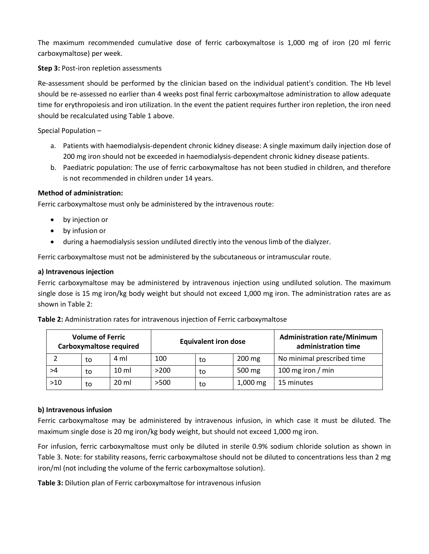The maximum recommended cumulative dose of ferric carboxymaltose is 1,000 mg of iron (20 ml ferric carboxymaltose) per week.

**Step 3:** Post-iron repletion assessments

Re-assessment should be performed by the clinician based on the individual patient's condition. The Hb level should be re-assessed no earlier than 4 weeks post final ferric carboxymaltose administration to allow adequate time for erythropoiesis and iron utilization. In the event the patient requires further iron repletion, the iron need should be recalculated using Table 1 above.

Special Population –

- a. Patients with haemodialysis-dependent chronic kidney disease: A single maximum daily injection dose of 200 mg iron should not be exceeded in haemodialysis-dependent chronic kidney disease patients.
- b. Paediatric population: The use of ferric carboxymaltose has not been studied in children, and therefore is not recommended in children under 14 years.

### **Method of administration:**

Ferric carboxymaltose must only be administered by the intravenous route:

- by injection or
- by infusion or
- during a haemodialysis session undiluted directly into the venous limb of the dialyzer.

Ferric carboxymaltose must not be administered by the subcutaneous or intramuscular route.

#### **a) Intravenous injection**

Ferric carboxymaltose may be administered by intravenous injection using undiluted solution. The maximum single dose is 15 mg iron/kg body weight but should not exceed 1,000 mg iron. The administration rates are as shown in Table 2:

| $M = 1, \ldots, n$ and $\blacksquare$ |                                                                                        | <b>Advised Sections</b> |
|---------------------------------------|----------------------------------------------------------------------------------------|-------------------------|
|                                       | <b>Table 2:</b> A limitation rates for intraverious injection or reflic carboxymattose |                         |

**Table 2:** Administration rates for intravenous injection of Ferric carboxymaltose

| <b>Volume of Ferric</b><br>Carboxymaltose required |    | <b>Equivalent iron dose</b> |      |    | <b>Administration rate/Minimum</b><br>administration time |                            |
|----------------------------------------------------|----|-----------------------------|------|----|-----------------------------------------------------------|----------------------------|
|                                                    | to | 4 ml                        | 100  | to | 200 mg                                                    | No minimal prescribed time |
| >4                                                 | to | $10 \mathrm{m}$             | >200 | to | 500 mg                                                    | 100 mg iron $/$ min        |
| $>10$                                              | to | $20 \mathrm{ml}$            | >500 | to | $1,000 \, \text{mg}$                                      | 15 minutes                 |

# **b) Intravenous infusion**

Ferric carboxymaltose may be administered by intravenous infusion, in which case it must be diluted. The maximum single dose is 20 mg iron/kg body weight, but should not exceed 1,000 mg iron.

For infusion, ferric carboxymaltose must only be diluted in sterile 0.9% sodium chloride solution as shown in Table 3. Note: for stability reasons, ferric carboxymaltose should not be diluted to concentrations less than 2 mg iron/ml (not including the volume of the ferric carboxymaltose solution).

**Table 3:** Dilution plan of Ferric carboxymaltose for intravenous infusion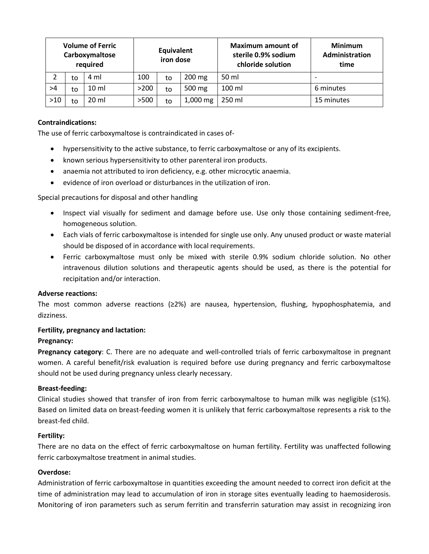| <b>Volume of Ferric</b><br>Carboxymaltose<br>required |    | Equivalent<br>iron dose |      |    | <b>Maximum amount of</b><br>sterile 0.9% sodium<br>chloride solution | <b>Minimum</b><br><b>Administration</b><br>time |                          |
|-------------------------------------------------------|----|-------------------------|------|----|----------------------------------------------------------------------|-------------------------------------------------|--------------------------|
|                                                       | to | 4 ml                    | 100  | to | 200 mg                                                               | 50 ml                                           | $\overline{\phantom{0}}$ |
| >4                                                    | to | $10 \mathrm{m}$         | >200 | to | 500 mg                                                               | 100 ml                                          | 6 minutes                |
| $>10$                                                 | to | 20 ml                   | >500 | to | $1,000 \, \text{mg}$                                                 | 250 ml                                          | 15 minutes               |

# **Contraindications:**

The use of ferric carboxymaltose is contraindicated in cases of-

- hypersensitivity to the active substance, to ferric carboxymaltose or any of its excipients.
- known serious hypersensitivity to other parenteral iron products.
- anaemia not attributed to iron deficiency, e.g. other microcytic anaemia.
- evidence of iron overload or disturbances in the utilization of iron.

#### Special precautions for disposal and other handling

- Inspect vial visually for sediment and damage before use. Use only those containing sediment-free, homogeneous solution.
- Each vials of ferric carboxymaltose is intended for single use only. Any unused product or waste material should be disposed of in accordance with local requirements.
- Ferric carboxymaltose must only be mixed with sterile 0.9% sodium chloride solution. No other intravenous dilution solutions and therapeutic agents should be used, as there is the potential for recipitation and/or interaction.

#### **Adverse reactions:**

The most common adverse reactions (≥2%) are nausea, hypertension, flushing, hypophosphatemia, and dizziness.

#### **Fertility, pregnancy and lactation:**

#### **Pregnancy:**

**Pregnancy category**: C. There are no adequate and well-controlled trials of ferric carboxymaltose in pregnant women. A careful benefit/risk evaluation is required before use during pregnancy and ferric carboxymaltose should not be used during pregnancy unless clearly necessary.

#### **Breast-feeding:**

Clinical studies showed that transfer of iron from ferric carboxymaltose to human milk was negligible  $(\leq 1\%)$ . Based on limited data on breast-feeding women it is unlikely that ferric carboxymaltose represents a risk to the breast-fed child.

#### **Fertility:**

There are no data on the effect of ferric carboxymaltose on human fertility. Fertility was unaffected following ferric carboxymaltose treatment in animal studies.

#### **Overdose:**

Administration of ferric carboxymaltose in quantities exceeding the amount needed to correct iron deficit at the time of administration may lead to accumulation of iron in storage sites eventually leading to haemosiderosis. Monitoring of iron parameters such as serum ferritin and transferrin saturation may assist in recognizing iron